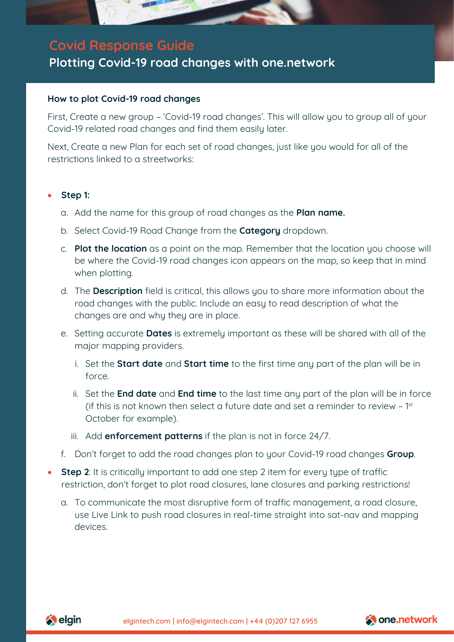

# **Covid Response Guide**

# **Plotting Covid-19 road changes with one.network**

## **How to plot Covid-19 road changes**

First, Create a new group – 'Covid-19 road changes'. This will allow you to group all of your Covid-19 related road changes and find them easily later.

Next, Create a new Plan for each set of road changes, just like you would for all of the restrictions linked to a streetworks:

#### • **Step 1:**

- a. Add the name for this group of road changes as the **Plan name.**
- b. Select Covid-19 Road Change from the **Category** dropdown.
- c. **Plot the location** as a point on the map. Remember that the location you choose will be where the Covid-19 road changes icon appears on the map, so keep that in mind when plotting.
- d. The **Description** field is critical, this allows you to share more information about the road changes with the public. Include an easy to read description of what the changes are and why they are in place.
- e. Setting accurate **Dates** is extremely important as these will be shared with all of the major mapping providers.
	- i. Set the **Start date** and **Start time** to the first time any part of the plan will be in force.
	- ii. Set the **End date** and **End time** to the last time any part of the plan will be in force (if this is not known then select a future date and set a reminder to review – 1 st October for example).
	- iii. Add **enforcement patterns** if the plan is not in force 24/7.
- f. Don't forget to add the road changes plan to your Covid-19 road changes **Group**.
- **Step 2**: It is critically important to add one step 2 item for every type of traffic restriction, don't forget to plot road closures, lane closures and parking restrictions!
	- a. To communicate the most disruptive form of traffic management, a road closure, use Live Link to push road closures in real-time straight into sat-nav and mapping devices.